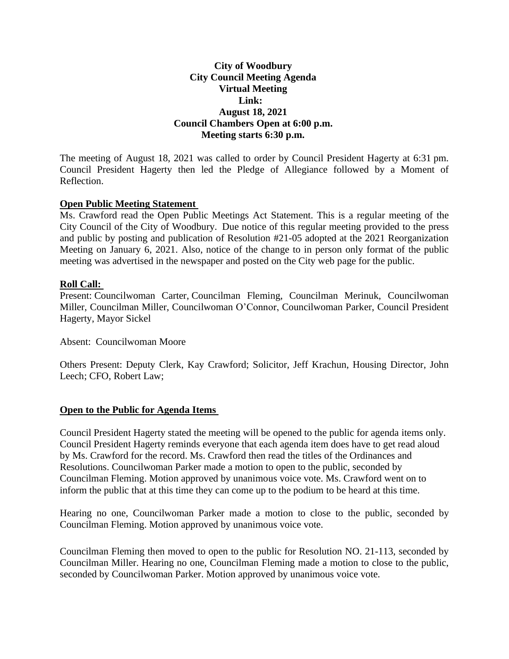# **City of Woodbury City Council Meeting Agenda Virtual Meeting Link: August 18, 2021 Council Chambers Open at 6:00 p.m. Meeting starts 6:30 p.m.**

The meeting of August 18, 2021 was called to order by Council President Hagerty at 6:31 pm. Council President Hagerty then led the Pledge of Allegiance followed by a Moment of Reflection.

## **Open Public Meeting Statement**

Ms. Crawford read the Open Public Meetings Act Statement. This is a regular meeting of the City Council of the City of Woodbury. Due notice of this regular meeting provided to the press and public by posting and publication of Resolution #21-05 adopted at the 2021 Reorganization Meeting on January 6, 2021. Also, notice of the change to in person only format of the public meeting was advertised in the newspaper and posted on the City web page for the public.

## **Roll Call:**

Present: Councilwoman Carter, Councilman Fleming, Councilman Merinuk, Councilwoman Miller, Councilman Miller, Councilwoman O'Connor, Councilwoman Parker, Council President Hagerty, Mayor Sickel

Absent: Councilwoman Moore

Others Present: Deputy Clerk, Kay Crawford; Solicitor, Jeff Krachun, Housing Director, John Leech; CFO, Robert Law;

## **Open to the Public for Agenda Items**

Council President Hagerty stated the meeting will be opened to the public for agenda items only. Council President Hagerty reminds everyone that each agenda item does have to get read aloud by Ms. Crawford for the record. Ms. Crawford then read the titles of the Ordinances and Resolutions. Councilwoman Parker made a motion to open to the public, seconded by Councilman Fleming. Motion approved by unanimous voice vote. Ms. Crawford went on to inform the public that at this time they can come up to the podium to be heard at this time.

Hearing no one, Councilwoman Parker made a motion to close to the public, seconded by Councilman Fleming. Motion approved by unanimous voice vote.

Councilman Fleming then moved to open to the public for Resolution NO. 21-113, seconded by Councilman Miller. Hearing no one, Councilman Fleming made a motion to close to the public, seconded by Councilwoman Parker. Motion approved by unanimous voice vote.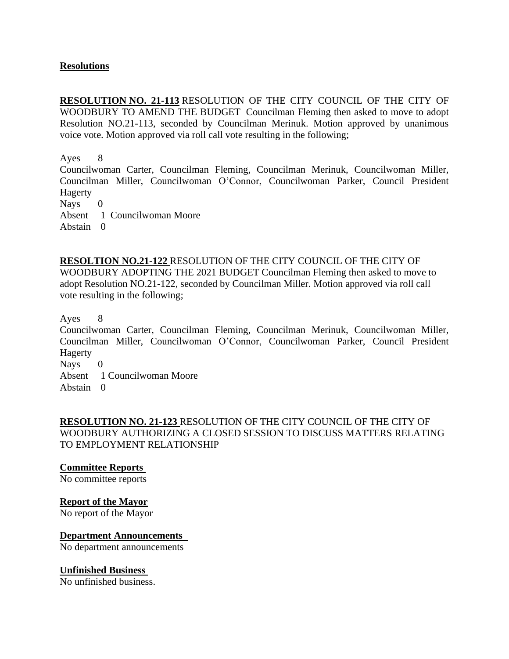# **Resolutions**

**RESOLUTION NO. 21-113** RESOLUTION OF THE CITY COUNCIL OF THE CITY OF WOODBURY TO AMEND THE BUDGET Councilman Fleming then asked to move to adopt Resolution NO.21-113, seconded by Councilman Merinuk. Motion approved by unanimous voice vote. Motion approved via roll call vote resulting in the following;

Ayes 8

Councilwoman Carter, Councilman Fleming, Councilman Merinuk, Councilwoman Miller, Councilman Miller, Councilwoman O'Connor, Councilwoman Parker, Council President Hagerty

Nays 0

Absent 1 Councilwoman Moore

Abstain 0

**RESOLTION NO.21-122** RESOLUTION OF THE CITY COUNCIL OF THE CITY OF WOODBURY ADOPTING THE 2021 BUDGET Councilman Fleming then asked to move to adopt Resolution NO.21-122, seconded by Councilman Miller. Motion approved via roll call vote resulting in the following;

Ayes 8

Councilwoman Carter, Councilman Fleming, Councilman Merinuk, Councilwoman Miller, Councilman Miller, Councilwoman O'Connor, Councilwoman Parker, Council President Hagerty

Nays 0

Absent 1 Councilwoman Moore

Abstain 0

**RESOLUTION NO. 21-123** RESOLUTION OF THE CITY COUNCIL OF THE CITY OF WOODBURY AUTHORIZING A CLOSED SESSION TO DISCUSS MATTERS RELATING TO EMPLOYMENT RELATIONSHIP

**Committee Reports**

No committee reports

## **Report of the Mayor**

No report of the Mayor

## **Department Announcements**

No department announcements

#### **Unfinished Business**

No unfinished business.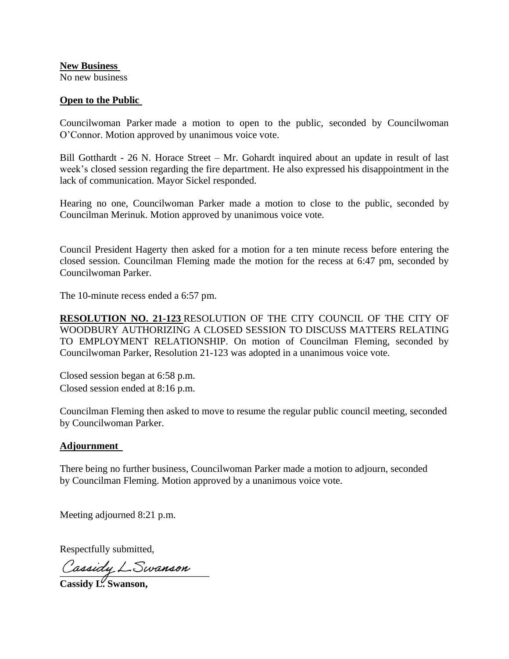**New Business**

No new business

# **Open to the Public**

Councilwoman Parker made a motion to open to the public, seconded by Councilwoman O'Connor. Motion approved by unanimous voice vote.

Bill Gotthardt - 26 N. Horace Street – Mr. Gohardt inquired about an update in result of last week's closed session regarding the fire department. He also expressed his disappointment in the lack of communication. Mayor Sickel responded.

Hearing no one, Councilwoman Parker made a motion to close to the public, seconded by Councilman Merinuk. Motion approved by unanimous voice vote.

Council President Hagerty then asked for a motion for a ten minute recess before entering the closed session. Councilman Fleming made the motion for the recess at 6:47 pm, seconded by Councilwoman Parker.

The 10-minute recess ended a 6:57 pm.

**RESOLUTION NO. 21-123** RESOLUTION OF THE CITY COUNCIL OF THE CITY OF WOODBURY AUTHORIZING A CLOSED SESSION TO DISCUSS MATTERS RELATING TO EMPLOYMENT RELATIONSHIP. On motion of Councilman Fleming, seconded by Councilwoman Parker, Resolution 21-123 was adopted in a unanimous voice vote.

Closed session began at 6:58 p.m. Closed session ended at 8:16 p.m.

Councilman Fleming then asked to move to resume the regular public council meeting, seconded by Councilwoman Parker.

## **Adjournment**

There being no further business, Councilwoman Parker made a motion to adjourn, seconded by Councilman Fleming. Motion approved by a unanimous voice vote.

Meeting adjourned 8:21 p.m.

Respectfully submitted,

\_\_\_\_\_\_\_\_\_\_\_\_\_\_\_\_\_\_\_\_\_\_\_\_\_\_\_\_\_\_

**Cassidy L. Swanson,**